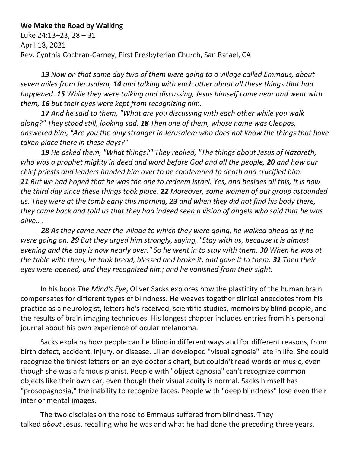## **We Make the Road by Walking**

Luke 24:13–23, 28 – 31 April 18, 2021 Rev. Cynthia Cochran-Carney, First Presbyterian Church, San Rafael, CA

*13 Now on that same day two of them were going to a village called Emmaus, about seven miles from Jerusalem, 14 and talking with each other about all these things that had happened. 15 While they were talking and discussing, Jesus himself came near and went with them, 16 but their eyes were kept from recognizing him.*

*17 And he said to them, "What are you discussing with each other while you walk along?" They stood still, looking sad. 18 Then one of them, whose name was Cleopas, answered him, "Are you the only stranger in Jerusalem who does not know the things that have taken place there in these days?"*

*19 He asked them, "What things?" They replied, "The things about Jesus of Nazareth, who was a prophet mighty in deed and word before God and all the people, 20 and how our chief priests and leaders handed him over to be condemned to death and crucified him. 21 But we had hoped that he was the one to redeem Israel. Yes, and besides all this, it is now the third day since these things took place. 22 Moreover, some women of our group astounded us. They were at the tomb early this morning, 23 and when they did not find his body there, they came back and told us that they had indeed seen a vision of angels who said that he was alive….*

*28 As they came near the village to which they were going, he walked ahead as if he were going on. 29 But they urged him strongly, saying, "Stay with us, because it is almost evening and the day is now nearly over." So he went in to stay with them. 30 When he was at the table with them, he took bread, blessed and broke it, and gave it to them. 31 Then their eyes were opened, and they recognized him; and he vanished from their sight.*

 In his book *The Mind's Eye*, Oliver Sacks explores how the plasticity of the human brain compensates for different types of blindness*.* He weaves together clinical anecdotes from his practice as a neurologist, letters he's received, scientific studies, memoirs by blind people, and the results of brain imaging techniques. His longest chapter includes entries from his personal journal about his own experience of ocular melanoma.

 Sacks explains how people can be blind in different ways and for different reasons, from birth defect, accident, injury, or disease. Lilian developed "visual agnosia" late in life. She could recognize the tiniest letters on an eye doctor's chart, but couldn't read words or music, even though she was a famous pianist. People with "object agnosia" can't recognize common objects like their own car, even though their visual acuity is normal. Sacks himself has "prosopagnosia," the inability to recognize faces. People with "deep blindness" lose even their interior mental images.

 The two disciples on the road to Emmaus suffered from blindness. They talked *about* Jesus, recalling who he was and what he had done the preceding three years.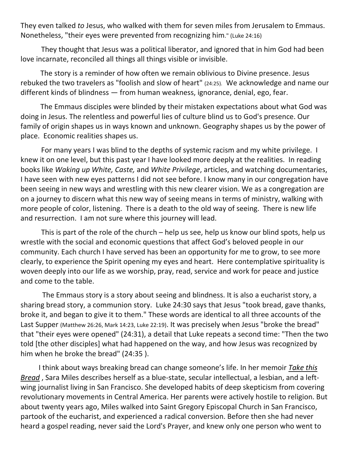They even talked *to* Jesus, who walked with them for seven miles from Jerusalem to Emmaus. Nonetheless, "their eyes were prevented from recognizing him." (Luke 24:16)

They thought that Jesus was a political liberator, and ignored that in him God had been love incarnate, reconciled all things all things visible or invisible.

 The story is a reminder of how often we remain oblivious to Divine presence. Jesus rebuked the two travelers as "foolish and slow of heart" (24:25). We acknowledge and name our different kinds of blindness — from human weakness, ignorance, denial, ego, fear.

 The Emmaus disciples were blinded by their mistaken expectations about what God was doing in Jesus. The relentless and powerful lies of culture blind us to God's presence. Our family of origin shapes us in ways known and unknown. Geography shapes us by the power of place. Economic realities shapes us.

For many years I was blind to the depths of systemic racism and my white privilege. I knew it on one level, but this past year I have looked more deeply at the realities. In reading books like *Waking up White, Caste,* and *White Privilege*, articles, and watching documentaries, I have seen with new eyes patterns I did not see before. I know many in our congregation have been seeing in new ways and wrestling with this new clearer vision. We as a congregation are on a journey to discern what this new way of seeing means in terms of ministry, walking with more people of color, listening. There is a death to the old way of seeing. There is new life and resurrection. I am not sure where this journey will lead.

This is part of the role of the church – help us see, help us know our blind spots, help us wrestle with the social and economic questions that affect God's beloved people in our community. Each church I have served has been an opportunity for me to grow, to see more clearly, to experience the Spirit opening my eyes and heart. Here contemplative spirituality is woven deeply into our life as we worship, pray, read, service and work for peace and justice and come to the table.

 The Emmaus story is a story about seeing and blindness. It is also a eucharist story, a sharing bread story, a communion story. Luke 24:30 says that Jesus "took bread, gave thanks, broke it, and began to give it to them." These words are identical to all three accounts of the Last Supper (Matthew 26:26, Mark 14:23, Luke 22:19). It was precisely when Jesus "broke the bread" that "their eyes were opened" (24:31), a detail that Luke repeats a second time: "Then the two told [the other disciples] what had happened on the way, and how Jesus was recognized by him when he broke the bread" (24:35 ).

 I think about ways breaking bread can change someone's life. In her memoir *Take this Bread* , Sara Miles describes herself as a blue-state, secular intellectual, a lesbian, and a leftwing journalist living in San Francisco. She developed habits of deep skepticism from covering revolutionary movements in Central America. Her parents were actively hostile to religion. But about twenty years ago, Miles walked into Saint Gregory Episcopal Church in San Francisco, partook of the eucharist, and experienced a radical conversion. Before then she had never heard a gospel reading, never said the Lord's Prayer, and knew only one person who went to